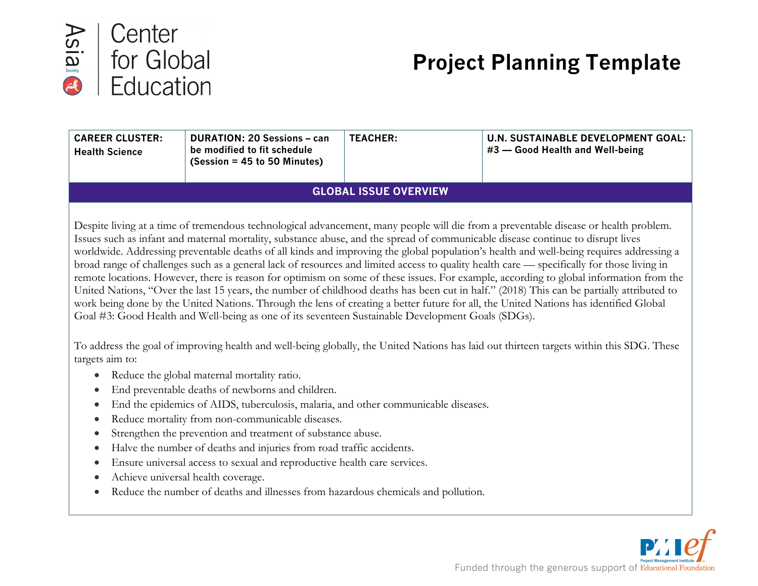

# **Project Planning Template**

| <b>CAREER CLUSTER:</b><br><b>Health Science</b> | <b>DURATION: 20 Sessions - can</b><br>be modified to fit schedule<br>$(Session = 45 to 50$ Minutes) | <b>TEACHER:</b> | <b>U.N. SUSTAINABLE DEVELOPMENT GOAL:</b><br>#3 - Good Health and Well-being                                                                                                                                                                                                                                                                                                                                                                                                                                                                                                                                                                                                                                                                                                                                                                                                                                                                                                                     |  |  |  |
|-------------------------------------------------|-----------------------------------------------------------------------------------------------------|-----------------|--------------------------------------------------------------------------------------------------------------------------------------------------------------------------------------------------------------------------------------------------------------------------------------------------------------------------------------------------------------------------------------------------------------------------------------------------------------------------------------------------------------------------------------------------------------------------------------------------------------------------------------------------------------------------------------------------------------------------------------------------------------------------------------------------------------------------------------------------------------------------------------------------------------------------------------------------------------------------------------------------|--|--|--|
|                                                 | <b>GLOBAL ISSUE OVERVIEW</b>                                                                        |                 |                                                                                                                                                                                                                                                                                                                                                                                                                                                                                                                                                                                                                                                                                                                                                                                                                                                                                                                                                                                                  |  |  |  |
|                                                 | Goal #3: Good Health and Well-being as one of its seventeen Sustainable Development Goals (SDGs).   |                 | Despite living at a time of tremendous technological advancement, many people will die from a preventable disease or health problem.<br>Issues such as infant and maternal mortality, substance abuse, and the spread of communicable disease continue to disrupt lives<br>worldwide. Addressing preventable deaths of all kinds and improving the global population's health and well-being requires addressing a<br>broad range of challenges such as a general lack of resources and limited access to quality health care — specifically for those living in<br>remote locations. However, there is reason for optimism on some of these issues. For example, according to global information from the<br>United Nations, "Over the last 15 years, the number of childhood deaths has been cut in half." (2018) This can be partially attributed to<br>work being done by the United Nations. Through the lens of creating a better future for all, the United Nations has identified Global |  |  |  |

To address the goal of improving health and well-being globally, the United Nations has laid out thirteen targets within this SDG. These targets aim to:

- Reduce the global maternal mortality ratio.
- End preventable deaths of newborns and children.
- End the epidemics of AIDS, tuberculosis, malaria, and other communicable diseases.
- Reduce mortality from non-communicable diseases.
- Strengthen the prevention and treatment of substance abuse.
- Halve the number of deaths and injuries from road traffic accidents.
- Ensure universal access to sexual and reproductive health care services.
- Achieve universal health coverage.
- Reduce the number of deaths and illnesses from hazardous chemicals and pollution.

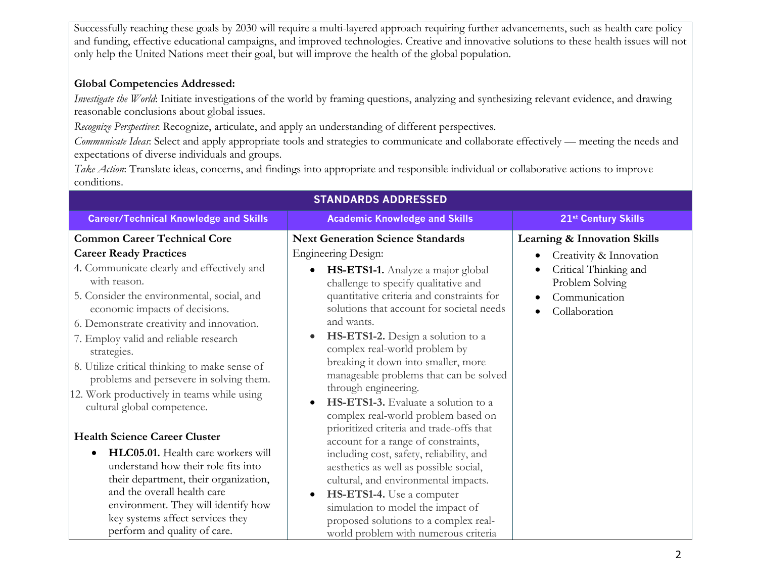Successfully reaching these goals by 2030 will require a multi-layered approach requiring further advancements, such as health care policy and funding, effective educational campaigns, and improved technologies. Creative and innovative solutions to these health issues will not only help the United Nations meet their goal, but will improve the health of the global population.

#### **Global Competencies Addressed:**

*Investigate the World*: Initiate investigations of the world by framing questions, analyzing and synthesizing relevant evidence, and drawing reasonable conclusions about global issues.

*Recognize Perspectives*: Recognize, articulate, and apply an understanding of different perspectives.

*Communicate Ideas*: Select and apply appropriate tools and strategies to communicate and collaborate effectively — meeting the needs and expectations of diverse individuals and groups.

*Take Action*: Translate ideas, concerns, and findings into appropriate and responsible individual or collaborative actions to improve conditions.

| <b>STANDARDS ADDRESSED</b>                                                                                                                                                                                                                                                                                                                                                                                                                                                                       |                                                                                                                                                                                                                                                                                                                                                                                                                                                                                                                                                                                                |                                                                                                                                                                                                      |  |  |  |
|--------------------------------------------------------------------------------------------------------------------------------------------------------------------------------------------------------------------------------------------------------------------------------------------------------------------------------------------------------------------------------------------------------------------------------------------------------------------------------------------------|------------------------------------------------------------------------------------------------------------------------------------------------------------------------------------------------------------------------------------------------------------------------------------------------------------------------------------------------------------------------------------------------------------------------------------------------------------------------------------------------------------------------------------------------------------------------------------------------|------------------------------------------------------------------------------------------------------------------------------------------------------------------------------------------------------|--|--|--|
| <b>Career/Technical Knowledge and Skills</b>                                                                                                                                                                                                                                                                                                                                                                                                                                                     | <b>Academic Knowledge and Skills</b>                                                                                                                                                                                                                                                                                                                                                                                                                                                                                                                                                           | 21st Century Skills                                                                                                                                                                                  |  |  |  |
| <b>Common Career Technical Core</b><br><b>Career Ready Practices</b><br>4. Communicate clearly and effectively and<br>with reason.<br>5. Consider the environmental, social, and<br>economic impacts of decisions.<br>6. Demonstrate creativity and innovation.<br>7. Employ valid and reliable research<br>strategies.<br>8. Utilize critical thinking to make sense of<br>problems and persevere in solving them.<br>12. Work productively in teams while using<br>cultural global competence. | <b>Next Generation Science Standards</b><br><b>Engineering Design:</b><br>HS-ETS1-1. Analyze a major global<br>$\bullet$<br>challenge to specify qualitative and<br>quantitative criteria and constraints for<br>solutions that account for societal needs<br>and wants.<br>HS-ETS1-2. Design a solution to a<br>$\bullet$<br>complex real-world problem by<br>breaking it down into smaller, more<br>manageable problems that can be solved<br>through engineering.<br>HS-ETS1-3. Evaluate a solution to a<br>complex real-world problem based on<br>prioritized criteria and trade-offs that | <b>Learning &amp; Innovation Skills</b><br>Creativity & Innovation<br>$\bullet$<br>Critical Thinking and<br>$\bullet$<br>Problem Solving<br>Communication<br>$\bullet$<br>Collaboration<br>$\bullet$ |  |  |  |
| <b>Health Science Career Cluster</b><br>HLC05.01. Health care workers will                                                                                                                                                                                                                                                                                                                                                                                                                       | account for a range of constraints,                                                                                                                                                                                                                                                                                                                                                                                                                                                                                                                                                            |                                                                                                                                                                                                      |  |  |  |
| understand how their role fits into<br>their department, their organization,<br>and the overall health care<br>environment. They will identify how<br>key systems affect services they<br>perform and quality of care.                                                                                                                                                                                                                                                                           | including cost, safety, reliability, and<br>aesthetics as well as possible social,<br>cultural, and environmental impacts.<br>HS-ETS1-4. Use a computer<br>simulation to model the impact of<br>proposed solutions to a complex real-<br>world problem with numerous criteria                                                                                                                                                                                                                                                                                                                  |                                                                                                                                                                                                      |  |  |  |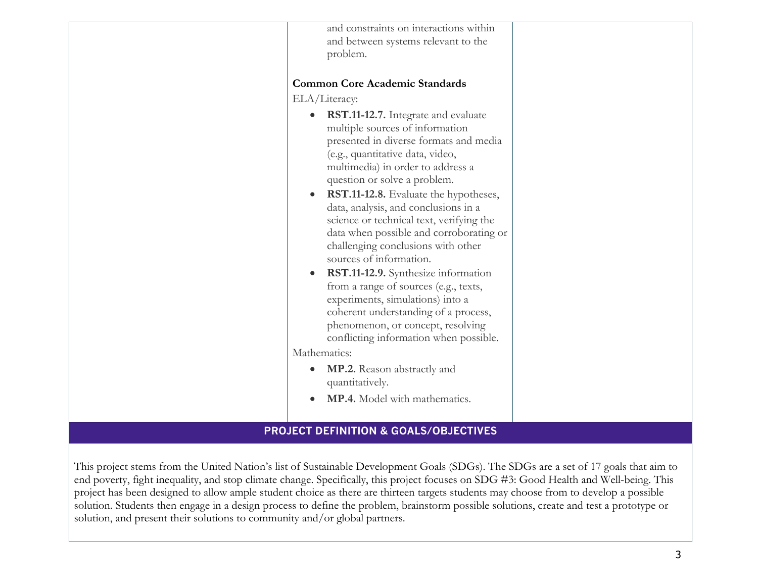| and constraints on interactions within<br>and between systems relevant to the<br>problem.                                                                                                                                                                                                                                                                                                                                                                                                                                                                                                                                                                                                                                                                                                                               |  |
|-------------------------------------------------------------------------------------------------------------------------------------------------------------------------------------------------------------------------------------------------------------------------------------------------------------------------------------------------------------------------------------------------------------------------------------------------------------------------------------------------------------------------------------------------------------------------------------------------------------------------------------------------------------------------------------------------------------------------------------------------------------------------------------------------------------------------|--|
| <b>Common Core Academic Standards</b>                                                                                                                                                                                                                                                                                                                                                                                                                                                                                                                                                                                                                                                                                                                                                                                   |  |
| ELA/Literacy:                                                                                                                                                                                                                                                                                                                                                                                                                                                                                                                                                                                                                                                                                                                                                                                                           |  |
| RST.11-12.7. Integrate and evaluate<br>multiple sources of information<br>presented in diverse formats and media<br>(e.g., quantitative data, video,<br>multimedia) in order to address a<br>question or solve a problem.<br>RST.11-12.8. Evaluate the hypotheses,<br>data, analysis, and conclusions in a<br>science or technical text, verifying the<br>data when possible and corroborating or<br>challenging conclusions with other<br>sources of information.<br>RST.11-12.9. Synthesize information<br>from a range of sources (e.g., texts,<br>experiments, simulations) into a<br>coherent understanding of a process,<br>phenomenon, or concept, resolving<br>conflicting information when possible.<br>Mathematics:<br><b>MP.2.</b> Reason abstractly and<br>quantitatively.<br>MP.4. Model with mathematics. |  |
|                                                                                                                                                                                                                                                                                                                                                                                                                                                                                                                                                                                                                                                                                                                                                                                                                         |  |

## **PROJECT DEFINITION & GOALS/OBJECTIVES**

This project stems from the United Nation's list of Sustainable Development Goals (SDGs). The SDGs are a set of 17 goals that aim to end poverty, fight inequality, and stop climate change. Specifically, this project focuses on SDG #3: Good Health and Well-being. This project has been designed to allow ample student choice as there are thirteen targets students may choose from to develop a possible solution. Students then engage in a design process to define the problem, brainstorm possible solutions, create and test a prototype or solution, and present their solutions to community and/or global partners.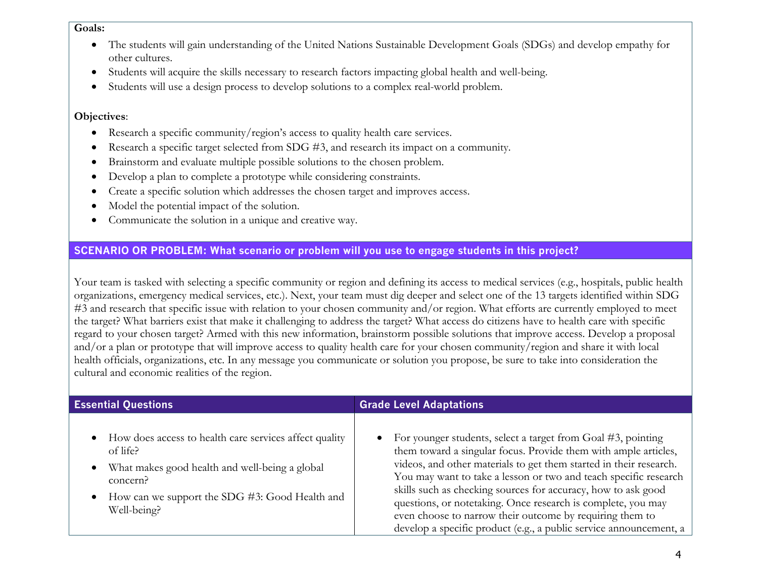#### **Goals:**

- The students will gain understanding of the United Nations Sustainable Development Goals (SDGs) and develop empathy for other cultures.
- Students will acquire the skills necessary to research factors impacting global health and well-being.
- Students will use a design process to develop solutions to a complex real-world problem.

#### **Objectives**:

- Research a specific community/region's access to quality health care services.
- Research a specific target selected from SDG #3, and research its impact on a community.
- Brainstorm and evaluate multiple possible solutions to the chosen problem.
- Develop a plan to complete a prototype while considering constraints.
- Create a specific solution which addresses the chosen target and improves access.
- Model the potential impact of the solution.
- Communicate the solution in a unique and creative way.

#### **SCENARIO OR PROBLEM: What scenario or problem will you use to engage students in this project?**

Your team is tasked with selecting a specific community or region and defining its access to medical services (e.g., hospitals, public health organizations, emergency medical services, etc.). Next, your team must dig deeper and select one of the 13 targets identified within SDG #3 and research that specific issue with relation to your chosen community and/or region. What efforts are currently employed to meet the target? What barriers exist that make it challenging to address the target? What access do citizens have to health care with specific regard to your chosen target? Armed with this new information, brainstorm possible solutions that improve access. Develop a proposal and/or a plan or prototype that will improve access to quality health care for your chosen community/region and share it with local health officials, organizations, etc. In any message you communicate or solution you propose, be sure to take into consideration the cultural and economic realities of the region.

| <b>Essential Questions</b>                               | <b>Grade Level Adaptations</b>                                     |  |  |
|----------------------------------------------------------|--------------------------------------------------------------------|--|--|
| • How does access to health care services affect quality | • For younger students, select a target from Goal $#3$ , pointing  |  |  |
| of life?                                                 | them toward a singular focus. Provide them with ample articles,    |  |  |
| What makes good health and well-being a global           | videos, and other materials to get them started in their research. |  |  |
| $\bullet$                                                | You may want to take a lesson or two and teach specific research   |  |  |
| concern?                                                 | skills such as checking sources for accuracy, how to ask good      |  |  |
| How can we support the SDG #3: Good Health and           | questions, or notetaking. Once research is complete, you may       |  |  |
| $\bullet$                                                | even choose to narrow their outcome by requiring them to           |  |  |
| Well-being?                                              | develop a specific product (e.g., a public service announcement, a |  |  |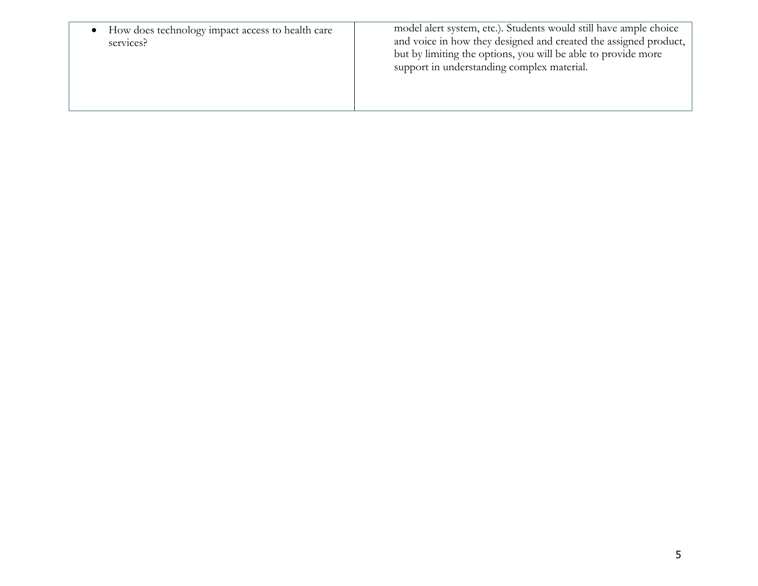| How does technology impact access to health care<br>services? | model alert system, etc.). Students would still have ample choice<br>and voice in how they designed and created the assigned product,<br>but by limiting the options, you will be able to provide more<br>support in understanding complex material. |
|---------------------------------------------------------------|------------------------------------------------------------------------------------------------------------------------------------------------------------------------------------------------------------------------------------------------------|
|---------------------------------------------------------------|------------------------------------------------------------------------------------------------------------------------------------------------------------------------------------------------------------------------------------------------------|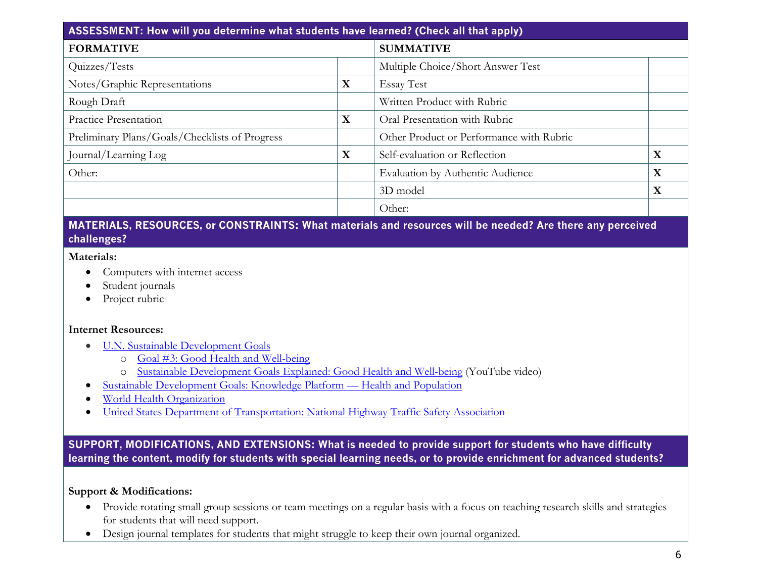| ASSESSMENT: How will you determine what students have learned? (Check all that apply) |             |                                          |   |  |
|---------------------------------------------------------------------------------------|-------------|------------------------------------------|---|--|
| <b>FORMATIVE</b>                                                                      |             | <b>SUMMATIVE</b>                         |   |  |
| Quizzes/Tests                                                                         |             | Multiple Choice/Short Answer Test        |   |  |
| Notes/Graphic Representations                                                         | X           | <b>Essay Test</b>                        |   |  |
| Rough Draft                                                                           |             | Written Product with Rubric              |   |  |
| Practice Presentation                                                                 | $\mathbf X$ | Oral Presentation with Rubric            |   |  |
| Preliminary Plans/Goals/Checklists of Progress                                        |             | Other Product or Performance with Rubric |   |  |
| Journal/Learning Log                                                                  | X           | Self-evaluation or Reflection            | X |  |
| Other:                                                                                |             | Evaluation by Authentic Audience         | X |  |
|                                                                                       |             | 3D model                                 | X |  |
|                                                                                       |             | Other:                                   |   |  |

### **MATERIALS, RESOURCES, or CONSTRAINTS: What materials and resources will be needed? Are there any perceived challenges?**

#### **Materials:**

- Computers with internet access
- Student journals
- Project rubric

#### **Internet Resources:**

- U.N. Sustainable Development Goals
	- o Goal #3: Good Health and Well-being
	- o Sustainable Development Goals Explained: Good Health and Well-being (YouTube video)
- Sustainable Development Goals: Knowledge Platform Health and Population
- World Health Organization
- United States Department of Transportation: National Highway Traffic Safety Association

## **SUPPORT, MODIFICATIONS, AND EXTENSIONS: What is needed to provide support for students who have difficulty learning the content, modify for students with special learning needs, or to provide enrichment for advanced students?**

#### **Support & Modifications:**

- Provide rotating small group sessions or team meetings on a regular basis with a focus on teaching research skills and strategies for students that will need support.
- Design journal templates for students that might struggle to keep their own journal organized.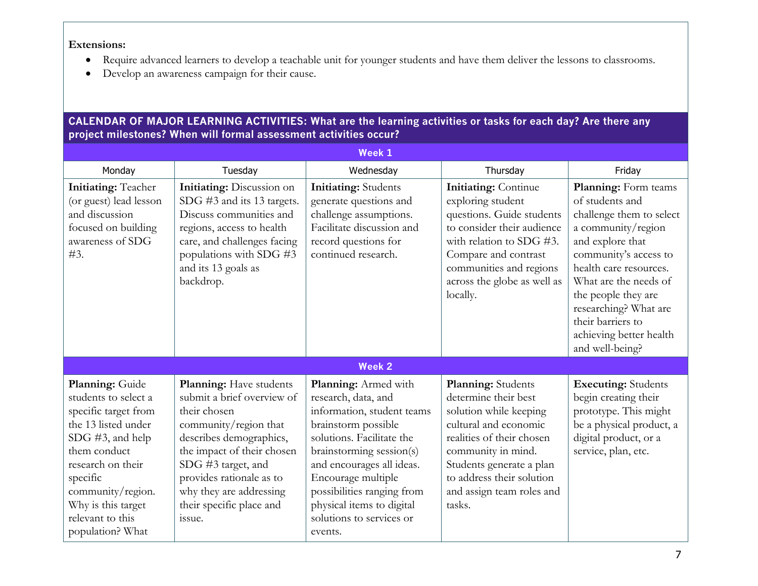**Extensions:**

- Require advanced learners to develop a teachable unit for younger students and have them deliver the lessons to classrooms.
- Develop an awareness campaign for their cause.

## **CALENDAR OF MAJOR LEARNING ACTIVITIES: What are the learning activities or tasks for each day? Are there any project milestones? When will formal assessment activities occur?**

| Week 1                                                                                                                                                                                                                                         |                                                                                                                                                                                                                                                                            |                                                                                                                                                                                                                                                                                                                |                                                                                                                                                                                                                                                  |                                                                                                                                                                                                                                                                                                              |
|------------------------------------------------------------------------------------------------------------------------------------------------------------------------------------------------------------------------------------------------|----------------------------------------------------------------------------------------------------------------------------------------------------------------------------------------------------------------------------------------------------------------------------|----------------------------------------------------------------------------------------------------------------------------------------------------------------------------------------------------------------------------------------------------------------------------------------------------------------|--------------------------------------------------------------------------------------------------------------------------------------------------------------------------------------------------------------------------------------------------|--------------------------------------------------------------------------------------------------------------------------------------------------------------------------------------------------------------------------------------------------------------------------------------------------------------|
| Monday                                                                                                                                                                                                                                         | Tuesday                                                                                                                                                                                                                                                                    | Wednesday                                                                                                                                                                                                                                                                                                      | Thursday                                                                                                                                                                                                                                         | Friday                                                                                                                                                                                                                                                                                                       |
| <b>Initiating: Teacher</b><br>(or guest) lead lesson<br>and discussion<br>focused on building<br>awareness of SDG<br>#3.                                                                                                                       | Initiating: Discussion on<br>SDG #3 and its 13 targets.<br>Discuss communities and<br>regions, access to health<br>care, and challenges facing<br>populations with SDG #3<br>and its 13 goals as<br>backdrop.                                                              | <b>Initiating:</b> Students<br>generate questions and<br>challenge assumptions.<br>Facilitate discussion and<br>record questions for<br>continued research.                                                                                                                                                    | <b>Initiating: Continue</b><br>exploring student<br>questions. Guide students<br>to consider their audience<br>with relation to SDG #3.<br>Compare and contrast<br>communities and regions<br>across the globe as well as<br>locally.            | Planning: Form teams<br>of students and<br>challenge them to select<br>a community/region<br>and explore that<br>community's access to<br>health care resources.<br>What are the needs of<br>the people they are<br>researching? What are<br>their barriers to<br>achieving better health<br>and well-being? |
|                                                                                                                                                                                                                                                |                                                                                                                                                                                                                                                                            | <b>Week 2</b>                                                                                                                                                                                                                                                                                                  |                                                                                                                                                                                                                                                  |                                                                                                                                                                                                                                                                                                              |
| Planning: Guide<br>students to select a<br>specific target from<br>the 13 listed under<br>SDG #3, and help<br>them conduct<br>research on their<br>specific<br>community/region.<br>Why is this target<br>relevant to this<br>population? What | Planning: Have students<br>submit a brief overview of<br>their chosen<br>community/region that<br>describes demographics,<br>the impact of their chosen<br>SDG #3 target, and<br>provides rationale as to<br>why they are addressing<br>their specific place and<br>issue. | Planning: Armed with<br>research, data, and<br>information, student teams<br>brainstorm possible<br>solutions. Facilitate the<br>brainstorming session(s)<br>and encourages all ideas.<br>Encourage multiple<br>possibilities ranging from<br>physical items to digital<br>solutions to services or<br>events. | Planning: Students<br>determine their best<br>solution while keeping<br>cultural and economic<br>realities of their chosen<br>community in mind.<br>Students generate a plan<br>to address their solution<br>and assign team roles and<br>tasks. | <b>Executing:</b> Students<br>begin creating their<br>prototype. This might<br>be a physical product, a<br>digital product, or a<br>service, plan, etc.                                                                                                                                                      |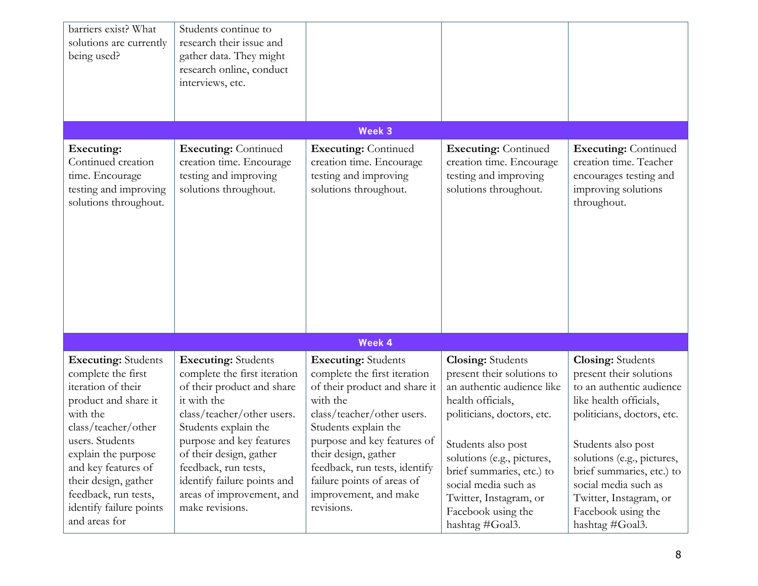| barriers exist? What<br>solutions are currently<br>being used?                                                                                                                                                                                                                                 | Students continue to<br>research their issue and<br>gather data. They might<br>research online, conduct<br>interviews, etc.                                                                                                                                                                                                 |                                                                                                                                                                                                                                                                                                                            |                                                                                                                                                                                                                                                                                                                     |                                                                                                                                                                                                                                                                                                                     |
|------------------------------------------------------------------------------------------------------------------------------------------------------------------------------------------------------------------------------------------------------------------------------------------------|-----------------------------------------------------------------------------------------------------------------------------------------------------------------------------------------------------------------------------------------------------------------------------------------------------------------------------|----------------------------------------------------------------------------------------------------------------------------------------------------------------------------------------------------------------------------------------------------------------------------------------------------------------------------|---------------------------------------------------------------------------------------------------------------------------------------------------------------------------------------------------------------------------------------------------------------------------------------------------------------------|---------------------------------------------------------------------------------------------------------------------------------------------------------------------------------------------------------------------------------------------------------------------------------------------------------------------|
|                                                                                                                                                                                                                                                                                                |                                                                                                                                                                                                                                                                                                                             | Week 3                                                                                                                                                                                                                                                                                                                     |                                                                                                                                                                                                                                                                                                                     |                                                                                                                                                                                                                                                                                                                     |
| Executing:<br>Continued creation<br>time. Encourage<br>testing and improving<br>solutions throughout.                                                                                                                                                                                          | <b>Executing: Continued</b><br>creation time. Encourage<br>testing and improving<br>solutions throughout.                                                                                                                                                                                                                   | <b>Executing: Continued</b><br>creation time. Encourage<br>testing and improving<br>solutions throughout.                                                                                                                                                                                                                  | <b>Executing: Continued</b><br>creation time. Encourage<br>testing and improving<br>solutions throughout.                                                                                                                                                                                                           | <b>Executing: Continued</b><br>creation time. Teacher<br>encourages testing and<br>improving solutions<br>throughout.                                                                                                                                                                                               |
|                                                                                                                                                                                                                                                                                                |                                                                                                                                                                                                                                                                                                                             | <b>Week 4</b>                                                                                                                                                                                                                                                                                                              |                                                                                                                                                                                                                                                                                                                     |                                                                                                                                                                                                                                                                                                                     |
| <b>Executing:</b> Students<br>complete the first<br>iteration of their<br>product and share it<br>with the<br>class/teacher/other<br>users. Students<br>explain the purpose<br>and key features of<br>their design, gather<br>feedback, run tests,<br>identify failure points<br>and areas for | <b>Executing:</b> Students<br>complete the first iteration<br>of their product and share<br>it with the<br>class/teacher/other users.<br>Students explain the<br>purpose and key features<br>of their design, gather<br>feedback, run tests,<br>identify failure points and<br>areas of improvement, and<br>make revisions. | <b>Executing:</b> Students<br>complete the first iteration<br>of their product and share it<br>with the<br>class/teacher/other users.<br>Students explain the<br>purpose and key features of<br>their design, gather<br>feedback, run tests, identify<br>failure points of areas of<br>improvement, and make<br>revisions. | <b>Closing:</b> Students<br>present their solutions to<br>an authentic audience like<br>health officials,<br>politicians, doctors, etc.<br>Students also post<br>solutions (e.g., pictures,<br>brief summaries, etc.) to<br>social media such as<br>Twitter, Instagram, or<br>Facebook using the<br>hashtag #Goal3. | <b>Closing: Students</b><br>present their solutions<br>to an authentic audience<br>like health officials,<br>politicians, doctors, etc.<br>Students also post<br>solutions (e.g., pictures,<br>brief summaries, etc.) to<br>social media such as<br>Twitter, Instagram, or<br>Facebook using the<br>hashtag #Goal3. |